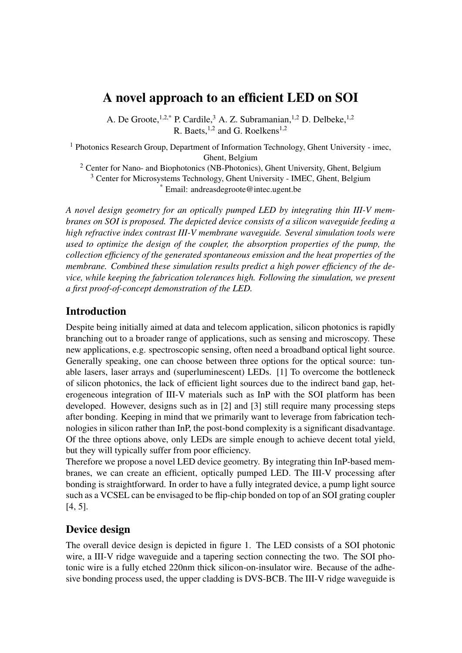# A novel approach to an efficient LED on SOI

A. De Groote,<sup>1,2,\*</sup> P. Cardile,<sup>3</sup> A. Z. Subramanian,<sup>1,2</sup> D. Delbeke,<sup>1,2</sup> R. Baets,  $^{1,2}$  and G. Roelkens $^{1,2}$ 

<sup>1</sup> Photonics Research Group, Department of Information Technology, Ghent University - imec, Ghent, Belgium

<sup>2</sup> Center for Nano- and Biophotonics (NB-Photonics), Ghent University, Ghent, Belgium <sup>3</sup> Center for Microsystems Technology, Ghent University - IMEC, Ghent, Belgium \* Email: andreasdegroote@intec.ugent.be

*A novel design geometry for an optically pumped LED by integrating thin III-V membranes on SOI is proposed. The depicted device consists of a silicon waveguide feeding a high refractive index contrast III-V membrane waveguide. Several simulation tools were used to optimize the design of the coupler, the absorption properties of the pump, the collection efficiency of the generated spontaneous emission and the heat properties of the membrane. Combined these simulation results predict a high power efficiency of the device, while keeping the fabrication tolerances high. Following the simulation, we present a first proof-of-concept demonstration of the LED.*

# Introduction

Despite being initially aimed at data and telecom application, silicon photonics is rapidly branching out to a broader range of applications, such as sensing and microscopy. These new applications, e.g. spectroscopic sensing, often need a broadband optical light source. Generally speaking, one can choose between three options for the optical source: tunable lasers, laser arrays and (superluminescent) LEDs. [1] To overcome the bottleneck of silicon photonics, the lack of efficient light sources due to the indirect band gap, heterogeneous integration of III-V materials such as InP with the SOI platform has been developed. However, designs such as in [2] and [3] still require many processing steps after bonding. Keeping in mind that we primarily want to leverage from fabrication technologies in silicon rather than InP, the post-bond complexity is a significant disadvantage. Of the three options above, only LEDs are simple enough to achieve decent total yield, but they will typically suffer from poor efficiency.

Therefore we propose a novel LED device geometry. By integrating thin InP-based membranes, we can create an efficient, optically pumped LED. The III-V processing after bonding is straightforward. In order to have a fully integrated device, a pump light source such as a VCSEL can be envisaged to be flip-chip bonded on top of an SOI grating coupler [4, 5].

## Device design

The overall device design is depicted in figure 1. The LED consists of a SOI photonic wire, a III-V ridge waveguide and a tapering section connecting the two. The SOI photonic wire is a fully etched 220nm thick silicon-on-insulator wire. Because of the adhesive bonding process used, the upper cladding is DVS-BCB. The III-V ridge waveguide is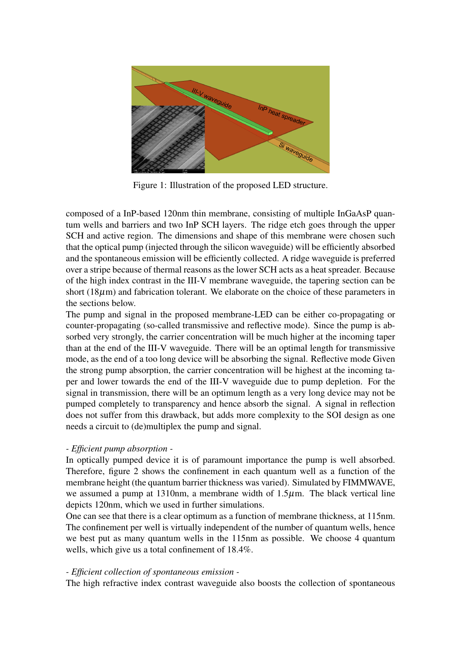

Figure 1: Illustration of the proposed LED structure.

composed of a InP-based 120nm thin membrane, consisting of multiple InGaAsP quantum wells and barriers and two InP SCH layers. The ridge etch goes through the upper SCH and active region. The dimensions and shape of this membrane were chosen such that the optical pump (injected through the silicon waveguide) will be efficiently absorbed and the spontaneous emission will be efficiently collected. A ridge waveguide is preferred over a stripe because of thermal reasons as the lower SCH acts as a heat spreader. Because of the high index contrast in the III-V membrane waveguide, the tapering section can be short  $(18\mu m)$  and fabrication tolerant. We elaborate on the choice of these parameters in the sections below.

The pump and signal in the proposed membrane-LED can be either co-propagating or counter-propagating (so-called transmissive and reflective mode). Since the pump is absorbed very strongly, the carrier concentration will be much higher at the incoming taper than at the end of the III-V waveguide. There will be an optimal length for transmissive mode, as the end of a too long device will be absorbing the signal. Reflective mode Given the strong pump absorption, the carrier concentration will be highest at the incoming taper and lower towards the end of the III-V waveguide due to pump depletion. For the signal in transmission, there will be an optimum length as a very long device may not be pumped completely to transparency and hence absorb the signal. A signal in reflection does not suffer from this drawback, but adds more complexity to the SOI design as one needs a circuit to (de)multiplex the pump and signal.

### *- Efficient pump absorption -*

In optically pumped device it is of paramount importance the pump is well absorbed. Therefore, figure 2 shows the confinement in each quantum well as a function of the membrane height (the quantum barrier thickness was varied). Simulated by FIMMWAVE, we assumed a pump at 1310nm, a membrane width of  $1.5\mu$ m. The black vertical line depicts 120nm, which we used in further simulations.

One can see that there is a clear optimum as a function of membrane thickness, at 115nm. The confinement per well is virtually independent of the number of quantum wells, hence we best put as many quantum wells in the 115nm as possible. We choose 4 quantum wells, which give us a total confinement of 18.4%.

### *- Efficient collection of spontaneous emission -*

The high refractive index contrast waveguide also boosts the collection of spontaneous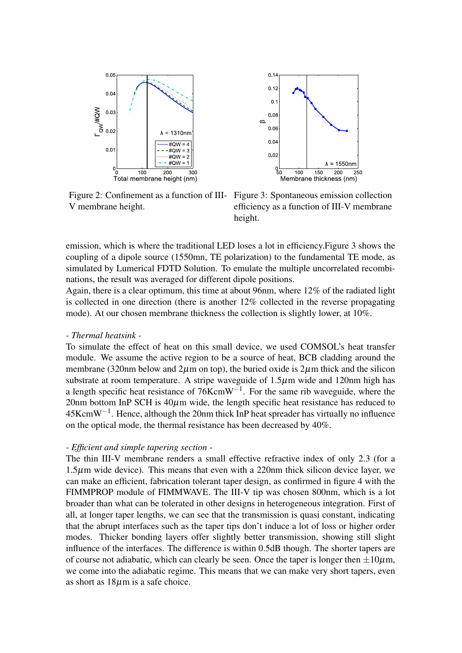



V membrane height.

Figure 2: Confinement as a function of III-Figure 3: Spontaneous emission collection efficiency as a function of III-V membrane height.

emission, which is where the traditional LED loses a lot in efficiency.Figure 3 shows the coupling of a dipole source (1550mn, TE polarization) to the fundamental TE mode, as simulated by Lumerical FDTD Solution. To emulate the multiple uncorrelated recombinations, the result was averaged for different dipole positions.

Again, there is a clear optimum, this time at about 96nm, where 12% of the radiated light is collected in one direction (there is another 12% collected in the reverse propagating mode). At our chosen membrane thickness the collection is slightly lower, at 10%.

#### *- Thermal heatsink -*

To simulate the effect of heat on this small device, we used COMSOL's heat transfer module. We assume the active region to be a source of heat, BCB cladding around the membrane (320nm below and  $2\mu$ m on top), the buried oxide is  $2\mu$ m thick and the silicon substrate at room temperature. A stripe waveguide of 1.5 $\mu$ m wide and 120nm high has a length specific heat resistance of  $76KcmW^{-1}$ . For the same rib waveguide, where the 20nm bottom InP SCH is  $40\mu$ m wide, the length specific heat resistance has reduced to  $45$ Kcm $W^{-1}$ . Hence, although the 20nm thick InP heat spreader has virtually no influence on the optical mode, the thermal resistance has been decreased by 40%.

#### *- Efficient and simple tapering section -*

The thin III-V membrane renders a small effective refractive index of only 2.3 (for a  $1.5\mu$ m wide device). This means that even with a 220nm thick silicon device layer, we can make an efficient, fabrication tolerant taper design, as confirmed in figure 4 with the FIMMPROP module of FIMMWAVE. The III-V tip was chosen 800nm, which is a lot broader than what can be tolerated in other designs in heterogeneous integration. First of all, at longer taper lengths, we can see that the transmission is quasi constant, indicating that the abrupt interfaces such as the taper tips don't induce a lot of loss or higher order modes. Thicker bonding layers offer slightly better transmission, showing still slight influence of the interfaces. The difference is within 0.5dB though. The shorter tapers are of course not adiabatic, which can clearly be seen. Once the taper is longer then  $\pm 10\mu$ m, we come into the adiabatic regime. This means that we can make very short tapers, even as short as 18µm is a safe choice.